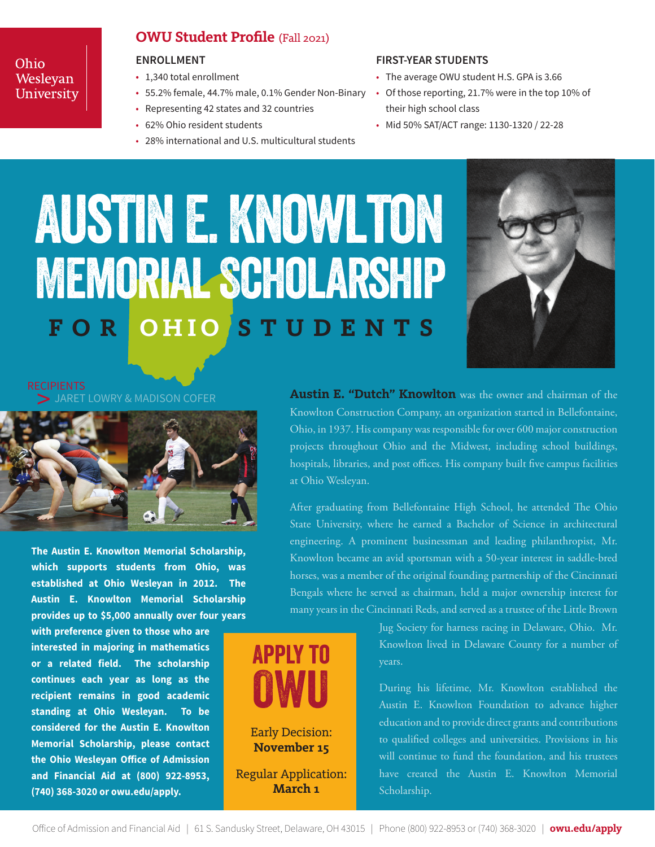#### Ohio Wesleyan University

#### **OWU Student Profile** (Fall 2021)

#### **ENROLLMENT**

- 1,340 total enrollment
- 55.2% female, 44.7% male, 0.1% Gender Non-Binary Of those reporting, 21.7% were in the top 10% of
- Representing 42 states and 32 countries
- 62% Ohio resident students
- 28% international and U.S. multicultural students

#### **FIRST-YEAR STUDENTS**

- The average OWU student H.S. GPA is 3.66
- their high school class
- Mid 50% SAT/ACT range: 1130-1320 / 22-28

# **FOR OHIO STUDENTS** AUSTIN E. KNOWLTON Memorial Scholarship



JARET LOWRY & MADISON COFER



**The Austin E. Knowlton Memorial Scholarship, which supports students from Ohio, was established at Ohio Wesleyan in 2012. The Austin E. Knowlton Memorial Scholarship provides up to \$5,000 annually over four years** 

**with preference given to those who are interested in majoring in mathematics or a related field. The scholarship continues each year as long as the recipient remains in good academic standing at Ohio Wesleyan. To be considered for the Austin E. Knowlton Memorial Scholarship, please contact the Ohio Wesleyan Office of Admission and Financial Aid at (800) 922-8953, (740) 368-3020 or owu.edu/apply.**

**Austin E. "Dutch" Knowlton** was the owner and chairman of the Knowlton Construction Company, an organization started in Bellefontaine, Ohio, in 1937. His company was responsible for over 600 major construction projects throughout Ohio and the Midwest, including school buildings, hospitals, libraries, and post offices. His company built five campus facilities at Ohio Wesleyan.

After graduating from Bellefontaine High School, he attended The Ohio State University, where he earned a Bachelor of Science in architectural engineering. A prominent businessman and leading philanthropist, Mr. Knowlton became an avid sportsman with a 50-year interest in saddle-bred horses, was a member of the original founding partnership of the Cincinnati Bengals where he served as chairman, held a major ownership interest for many years in the Cincinnati Reds, and served as a trustee of the Little Brown

> Jug Society for harness racing in Delaware, Ohio. Mr. Knowlton lived in Delaware County for a number of years.

> During his lifetime, Mr. Knowlton established the Austin E. Knowlton Foundation to advance higher education and to provide direct grants and contributions to qualified colleges and universities. Provisions in his will continue to fund the foundation, and his trustees have created the Austin E. Knowlton Memorial Scholarship.